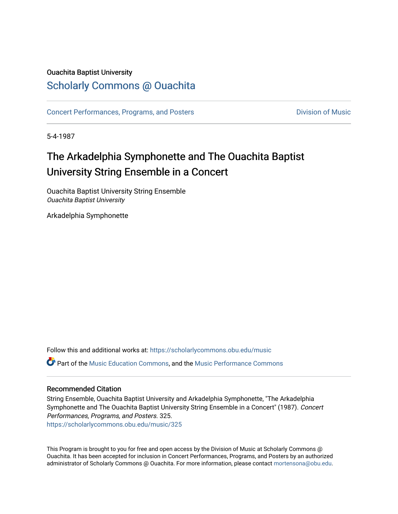## Ouachita Baptist University

# [Scholarly Commons @ Ouachita](https://scholarlycommons.obu.edu/)

[Concert Performances, Programs, and Posters](https://scholarlycommons.obu.edu/music) **Division of Music** Division of Music

5-4-1987

# The Arkadelphia Symphonette and The Ouachita Baptist University String Ensemble in a Concert

Ouachita Baptist University String Ensemble Ouachita Baptist University

Arkadelphia Symphonette

Follow this and additional works at: [https://scholarlycommons.obu.edu/music](https://scholarlycommons.obu.edu/music?utm_source=scholarlycommons.obu.edu%2Fmusic%2F325&utm_medium=PDF&utm_campaign=PDFCoverPages)  Part of the [Music Education Commons,](http://network.bepress.com/hgg/discipline/1246?utm_source=scholarlycommons.obu.edu%2Fmusic%2F325&utm_medium=PDF&utm_campaign=PDFCoverPages) and the [Music Performance Commons](http://network.bepress.com/hgg/discipline/1128?utm_source=scholarlycommons.obu.edu%2Fmusic%2F325&utm_medium=PDF&utm_campaign=PDFCoverPages) 

### Recommended Citation

String Ensemble, Ouachita Baptist University and Arkadelphia Symphonette, "The Arkadelphia Symphonette and The Ouachita Baptist University String Ensemble in a Concert" (1987). Concert Performances, Programs, and Posters. 325. [https://scholarlycommons.obu.edu/music/325](https://scholarlycommons.obu.edu/music/325?utm_source=scholarlycommons.obu.edu%2Fmusic%2F325&utm_medium=PDF&utm_campaign=PDFCoverPages) 

This Program is brought to you for free and open access by the Division of Music at Scholarly Commons @ Ouachita. It has been accepted for inclusion in Concert Performances, Programs, and Posters by an authorized administrator of Scholarly Commons @ Ouachita. For more information, please contact [mortensona@obu.edu](mailto:mortensona@obu.edu).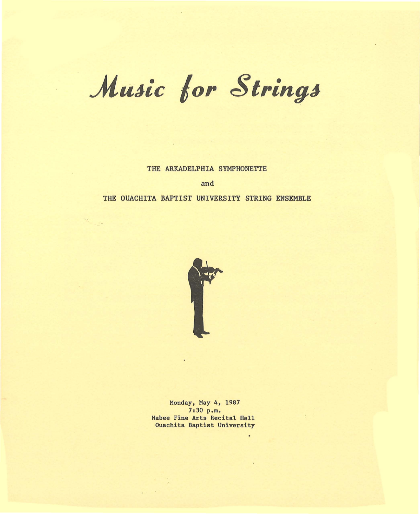# Music for Strings

THE ARKADELPHIA SYMPHONETTE

and

#### THE OUACHITA BAPTIST UNIVERSITY STRING ENSEMBLE

 $\mathcal{R}_{\mathcal{F}_{\mathcal{F}}}$ 

-



Monday, May 4, 1987 7:30 p.m. Mabee Fine Arts Recital Hall Ouachita Baptist University

 $\overline{\phantom{a}}$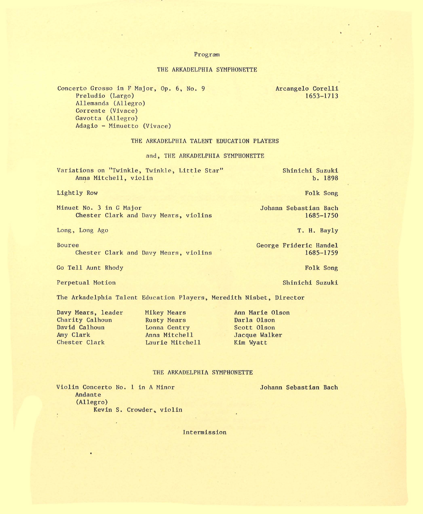#### Program

#### THE ARKADELPHIA SYMPHONETTE

Concerto Grosso in F Major, Op. 6, No. 9 Preludio (Largo) Allemanda (Allegro) Corrente (Vivace) Gavotta (Allegro) Adagio - Hinuetto (Vivace)

Arcangelo Corelli 1653- 1713

THE ARKADELPHIA TALENT EDUCATION PLAYERS

#### and, THE ARKADELPHIA SYMPHONETTE

| Variations on "Twinkle, Twinkle, Little Star" | Shinichi Suzuki |
|-----------------------------------------------|-----------------|
| Anna Mitchell, violin                         | b. 1898         |

#### Lightly Row

Hinuet No. 3 in G Major Chester Clark and Davy Mears, violins

Long, Long Ago

Bouree Chester Clark and Davy Mears, violins

Go Tell Aunt Rhody

Perpetual Motion

The Arkadelphia Talent Education Players, Heredith Nisbet, Director

Davy Mears, leader Charity Calhoun David Calhoun Amy Clark Chester Clark

**Mikey Mears** Rusty Mears Lonna Gentry Anna Mitchell Laurie Hitchell

Ann Marie Olson Darla Olson Scott Olson Jacque Walker Kim Wyatt

#### THE ARKADELPHIA SYMPHONETTE

Violin Concerto No. 1 in A Ninor Andante (Allegro) Kevin S. Crowder, violin

Intermission

Folk Song

Johann Sebastian Bach 1685-1750

T. H. Bayly

George Frideric Handel 1685- 1759

Johann Sebastian Bach

Folk Song

Shinichi Suzuki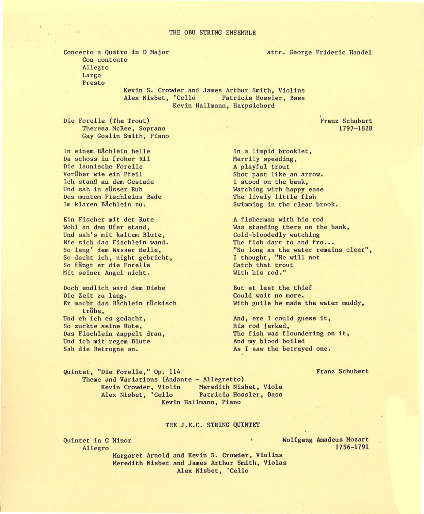#### THE OBU STRING ENSEMBLE

Concerto a Quatro in D Major Con contento Allegro Largo Presto

Kevin S. Crowder and James Arthur Smith, Violins Alex Nisbet, 'Cello Patricia Hossler, Bass Kevin Hallmann, Harpsichord

Die Forelle (The Trout) Theresa McRee, Soprano Gay Goslin Smith, Piano

In einem Bächlein helle Da schoss in froher Eil Die launische Forelle Vorüber wie ein Pfeil Ich stand an dem Gestade Und sah in süsser Ruh Des muntem Fischleins Bade Im klaren Bächlein zu.

Ein Fischer mit der Rute Wohl an dem Ufer stand, Und sah's mit kaltem Blute, Wie sich das Fischlein wand. So lang' dem Wasser Helle, So dacht ich, night gebricht, So fängt er die Forelle Mit seiner Angel nicht.

Doch endlich ward dem Diebe Die Zeit zu lang. Er macht das Bächlein tückisch trübe, Und eh ich es gedacht, So zuckte seine Rute, Das Fischlein zappelt dran, Und ich mit regem Blute Sah die Betrogne an.

In a limpid brooklet, Merrily speeding, A playful trout Shot past like an arrow. I stood on the bank, Watching with happy ease The lively little fish Swimming in the clear brook.

A fisherman with his rod Was standing there on the bank, Cold-bloodedly watching The fish dart to and fro... "So long as the water remains clear", I thought, "He will not Catch that trout With his rod."

But at last the thief Could wait no more. With guile he made the water muddy,

And, ere I could guess it, His rod jerked, The fish was floundering on it, And my blood boiled As I saw the betrayed one.

Franz Schubert

Quintet, "Die Forelle," Op. 114 Theme and Variations (Andante - Allegretto) Meredith Nisbet, Viola<br>Patricia Hossler, Bass Alex Nisbet, 'Cello Kevin Hallmann, Piano

#### THE J.E.C. STRING QUINTET

Quintet in G Minor Allegro

Wolfgang Amadeus Mozart 1756-1791

Margaret Arnold and Kevin S. Crowder, Violins Meredith Nisbet and James Arthur Smith, Violas Alex Nisbet, 'Cello

Franz Schubert 1797-1828

attr. George Frideric Handel